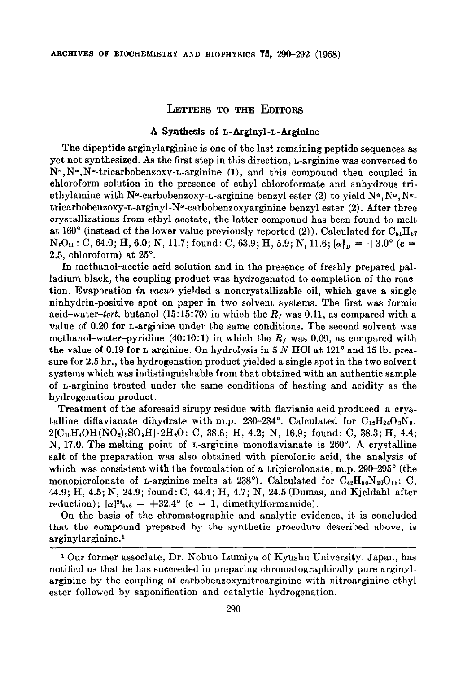## LETTERS TO THE EDITORS

## A Synthesis of L-Arginyl-L-Arginlne

The dipeptide arginylarginine is one of the last remaining peptide sequences as yet not synthesized. As the first step in this direction, L-arginine was converted to  $N^{\alpha}, N^{\omega}$ . The tricarbobenzoxy-L-arginine (1), and this compound then coupled in chloroform solution in the presence of ethyl chloroformate and anhydrous triethylamine with N<sup>o</sup>-carbobenzoxy-L-arginine benzyl ester (2) to yield  $N^{\alpha}$ ,  $N^{\omega}$ ,  $N^{\omega}$ . tricarbobenzoxy-L-arginyl-N<sup>"</sup>-carbobenzoxyarginine benzyl ester  $(2)$ . After three crystallizations from ethyl acetate, the latter compound has been found to melt at 160 $^{\circ}$  (instead of the lower value previously reported (2)). Calculated for  $C_{\beta_1}H_{\beta_2}$  $N_8O_{11}$ : C, 64.0; H, 6.0; N, 11.7; found: C, 63.9; H, 5.9; N, 11.6;  $\alpha|_{\mathbf{n}} = +3.0^{\circ}$  (c = 2.5, chloroform) at 25".

In methanol-acetic acid solution and in the presence of freshly prepared palladium black, the coupling product was hydrogenated to completion of the reaction. Evaporation in vacua yielded a noncrystallizable oil, which gave a single ninhydrin-positive spot on paper in two solvent systems. The first was formic acid-water-tert. butanol (15:15:70) in which the  $R_f$  was 0.11, as compared with a value of 0.20 for L-arginine under the same conditions. The second solvent was methanol-water-pyridine (40:10:1) in which the  $R<sub>I</sub>$  was 0.09, as compared with the value of 0.19 for L-arginine. On hydrolysis in  $5 N$  HCl at  $121^\circ$  and  $15$  lb. pressure for 2.5 hr., the hydrogenation product yielded a single spot in the two solvent systems which was indistinguishable from that obtained with an authentic sample of L-arginine treated under the same conditions of heating and acidity as the hydrogenation product.

Treatment of the aforesaid sirupy residue with flavianic acid produced a crystalline diflavianate dihydrate with m.p. 230-234°. Calculated for  $C_{12}H_{26}O_3N_8$ .  $2[C_{10}H_4OH(NO_2)_2SO_3H]\cdot 2H_2O$ : C, 38.6; H, 4.2; N, 16.9; found: C, 38.3; H, 4.4; N, 17.0. The melting point of L-arginine monoflavianate is 260". A crystalline salt of the preparation was also obtained with picrolonic acid, the analysis of which was consistent with the formulation of a tripicrolonate; m.p.  $290-295^{\circ}$  (the monopicrolonate of L-arginine melts at 238°). Calculated for  $C_{42}H_{50}N_{20}O_{18}$ : C, 44.9; H, 4.5; N, 24.9; found: C, 44.4; H, 4.7; N, 24.5 (Dumas, and Kjeldahl after reduction);  $[\alpha]^{24}{}_{546} = +32.4^{\circ}$  (c = 1, dimethylformamide).

On the basis of the chromatographic and analytic evidence, it is concluded that the compound prepared by the synthetic procedure described above, is arginylarginine.'

<sup>1</sup> Our former associate, Dr. Nobuo Izumiya of Kyushu University, Japan, has notified us that he has succeeded in preparing chromatographically pure arginylarginine by the coupling of carbobenzoxynitroarginine with nitroarginine ethyl ester followed by saponification and catalytic hydrogenation.